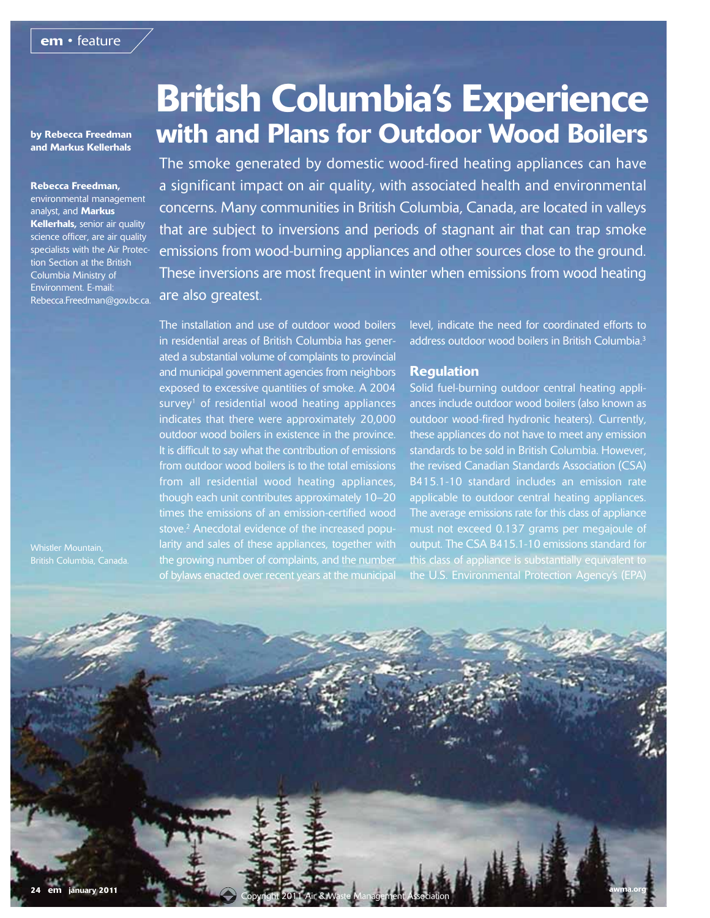by Rebecca Freedman and Markus Kellerhals

Rebecca Freedman, environmental management analyst, and Markus Kellerhals, senior air quality science officer, are air quality specialists with the Air Protection Section at the British Columbia Ministry of Environment. E-mail: Rebecca.Freedman@gov.bc.ca.

British Columbia, Canada.

# British Columbia's Experience with and Plans for Outdoor Wood Boilers

The smoke generated by domestic wood-fired heating appliances can have a significant impact on air quality, with associated health and environmental concerns. Many communities in British Columbia, Canada, are located in valleys that are subject to inversions and periods of stagnant air that can trap smoke emissions from wood-burning appliances and other sources close to the ground. These inversions are most frequent in winter when emissions from wood heating are also greatest.

The installation and use of outdoor wood boilers in residential areas of British Columbia has generated a substantial volume of complaints to provincial and municipal government agencies from neighbors exposed to excessive quantities of smoke. A 2004 survey<sup>1</sup> of residential wood heating appliances indicates that there were approximately 20,000 outdoor wood boilers in existence in the province. It is difficult to say what the contribution of emissions from outdoor wood boilers is to the total emissions from all residential wood heating appliances, though each unit contributes approximately 10–20 times the emissions of an emission-certified wood stove.2 Anecdotal evidence of the increased popularity and sales of these appliances, together with the growing number of complaints, and the number of bylaws enacted over recent years at the municipal

level, indicate the need for coordinated efforts to address outdoor wood boilers in British Columbia.3

#### Regulation

Solid fuel-burning outdoor central heating appliances include outdoor wood boilers (also known as outdoor wood-fired hydronic heaters). Currently, these appliances do not have to meet any emission standards to be sold in British Columbia. However, the revised Canadian Standards Association (CSA) B415.1-10 standard includes an emission rate applicable to outdoor central heating appliances. The average emissions rate for this class of appliance must not exceed 0.137 grams per megajoule of output. The CSA B415.1-10 emissions standard for this class of appliance is substantially equivalent to the U.S. Environmental Protection Agency's (EPA)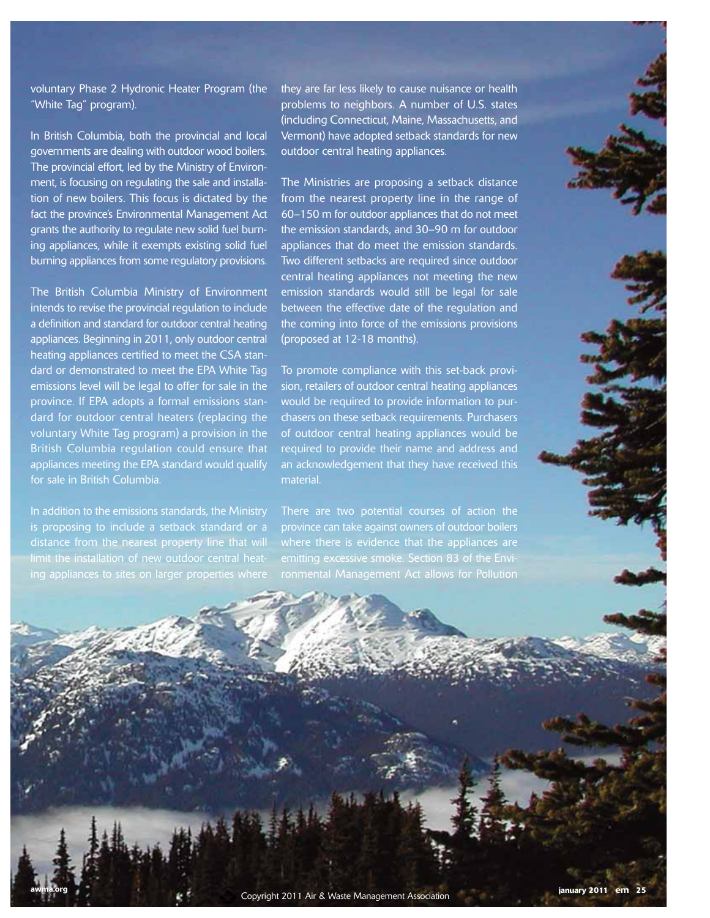### voluntary Phase 2 Hydronic Heater Program (the "White Tag" program).

In British Columbia, both the provincial and local governments are dealing with outdoor wood boilers. The provincial effort, led by the Ministry of Environment, is focusing on regulating the sale and installation of new boilers. This focus is dictated by the fact the province's Environmental Management Act grants the authority to regulate new solid fuel burning appliances, while it exempts existing solid fuel burning appliances from some regulatory provisions.

The British Columbia Ministry of Environment intends to revise the provincial regulation to include a definition and standard for outdoor central heating appliances. Beginning in 2011, only outdoor central heating appliances certified to meet the CSA standard or demonstrated to meet the EPA White Tag emissions level will be legal to offer for sale in the province. If EPA adopts a formal emissions standard for outdoor central heaters (replacing the voluntary White Tag program) a provision in the British Columbia regulation could ensure that appliances meeting the EPA standard would qualify for sale in British Columbia.

In addition to the emissions standards, the Ministry is proposing to include a setback standard or a distance from the nearest property line that will limit the installation of new outdoor central heat-

they are far less likely to cause nuisance or health problems to neighbors. A number of U.S. states (including Connecticut, Maine, Massachusetts, and Vermont) have adopted setback standards for new outdoor central heating appliances.

The Ministries are proposing a setback distance from the nearest property line in the range of 60–150 m for outdoor appliances that do not meet the emission standards, and 30–90 m for outdoor appliances that do meet the emission standards. Two different setbacks are required since outdoor central heating appliances not meeting the new emission standards would still be legal for sale between the effective date of the regulation and the coming into force of the emissions provisions (proposed at 12-18 months).

To promote compliance with this set-back provision, retailers of outdoor central heating appliances would be required to provide information to purchasers on these setback requirements. Purchasers of outdoor central heating appliances would be required to provide their name and address and an acknowledgement that they have received this material.

There are two potential courses of action the province can take against owners of outdoor boilers where there is evidence that the appliances are